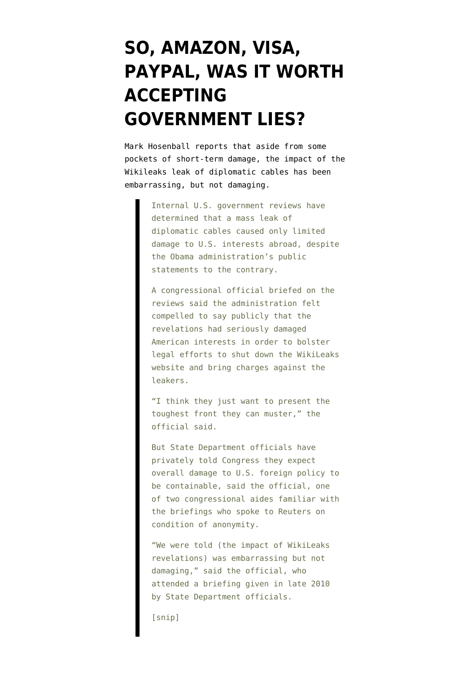## **[SO, AMAZON, VISA,](https://www.emptywheel.net/2011/01/18/so-amazon-visa-paypal-was-it-worth-accepting-government-lies/) [PAYPAL, WAS IT WORTH](https://www.emptywheel.net/2011/01/18/so-amazon-visa-paypal-was-it-worth-accepting-government-lies/) [ACCEPTING](https://www.emptywheel.net/2011/01/18/so-amazon-visa-paypal-was-it-worth-accepting-government-lies/) [GOVERNMENT LIES?](https://www.emptywheel.net/2011/01/18/so-amazon-visa-paypal-was-it-worth-accepting-government-lies/)**

Mark Hosenball [reports](http://www.reuters.com/article/idUSTRE70H6TO20110118?pageNumber=1) that aside from some pockets of short-term damage, the impact of the Wikileaks leak of diplomatic cables has been embarrassing, but not damaging.

> Internal U.S. government reviews have determined that a mass leak of diplomatic cables caused only limited damage to U.S. interests abroad, despite the Obama administration's public statements to the contrary.

> A congressional official briefed on the reviews said the administration felt compelled to say publicly that the revelations had seriously damaged American interests in order to bolster legal efforts to shut down the WikiLeaks website and bring charges against the leakers.

"I think they just want to present the toughest front they can muster," the official said.

But State Department officials have privately told Congress they expect overall damage to U.S. foreign policy to be containable, said the official, one of two congressional aides familiar with the briefings who spoke to Reuters on condition of anonymity.

"We were told (the impact of WikiLeaks revelations) was embarrassing but not damaging," said the official, who attended a briefing given in late 2010 by State Department officials.

[snip]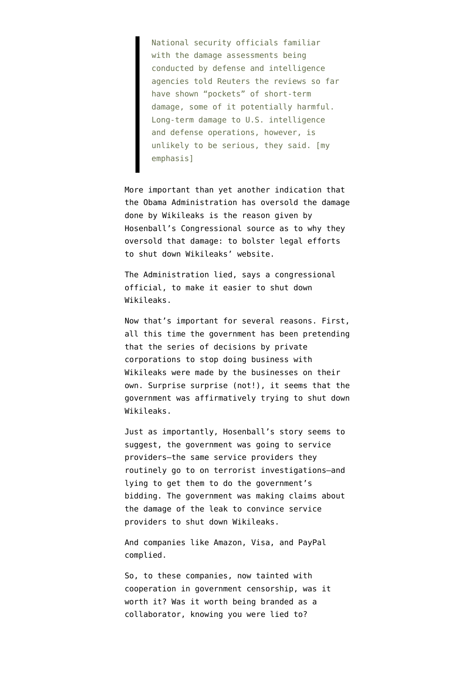National security officials familiar with the damage assessments being conducted by defense and intelligence agencies told Reuters the reviews so far have shown "pockets" of short-term damage, some of it potentially harmful. Long-term damage to U.S. intelligence and defense operations, however, is unlikely to be serious, they said. [my emphasis]

More important than yet another indication that the Obama Administration has oversold the damage done by Wikileaks is the reason given by Hosenball's Congressional source as to why they oversold that damage: to bolster legal efforts to shut down Wikileaks' website.

The Administration lied, says a congressional official, to make it easier to shut down Wikileaks.

Now that's important for several reasons. First, all this time the government has been pretending that the series of decisions by private corporations to stop doing business with Wikileaks were made by the businesses on their own. Surprise surprise (not!), it seems that the government was affirmatively trying to shut down Wikileaks.

Just as importantly, Hosenball's story seems to suggest, the government was going to service providers–the same service providers they routinely go to on terrorist investigations–and lying to get them to do the government's bidding. The government was making claims about the damage of the leak to convince service providers to shut down Wikileaks.

And companies like Amazon, Visa, and PayPal complied.

So, to these companies, now tainted with cooperation in government censorship, was it worth it? Was it worth being branded as a collaborator, knowing you were lied to?